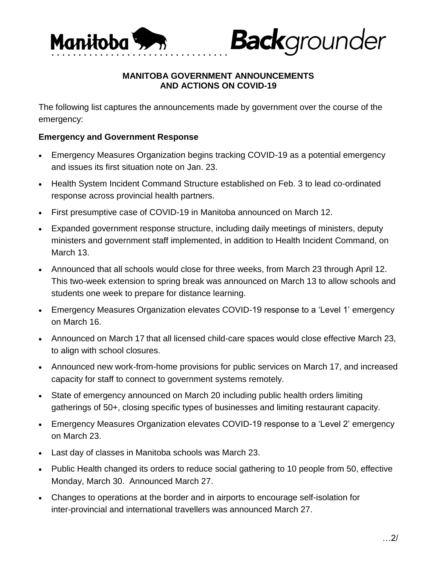

# **MANITOBA GOVERNMENT ANNOUNCEMENTS AND ACTIONS ON COVID-19**

**Back**grounder

The following list captures the announcements made by government over the course of the emergency:

## **Emergency and Government Response**

- Emergency Measures Organization begins tracking COVID-19 as a potential emergency and issues its first situation note on Jan. 23.
- Health System Incident Command Structure established on Feb. 3 to lead co-ordinated response across provincial health partners.
- First presumptive case of COVID-19 in Manitoba announced on March 12.
- Expanded government response structure, including daily meetings of ministers, deputy ministers and government staff implemented, in addition to Health Incident Command, on March 13.
- Announced that all schools would close for three weeks, from March 23 through April 12. This two-week extension to spring break was announced on March 13 to allow schools and students one week to prepare for distance learning.
- Emergency Measures Organization elevates COVID-19 response to a 'Level 1' emergency on March 16.
- Announced on March 17 that all licensed child-care spaces would close effective March 23, to align with school closures.
- Announced new work-from-home provisions for public services on March 17, and increased capacity for staff to connect to government systems remotely.
- State of emergency announced on March 20 including public health orders limiting gatherings of 50+, closing specific types of businesses and limiting restaurant capacity.
- Emergency Measures Organization elevates COVID-19 response to a 'Level 2' emergency on March 23.
- Last day of classes in Manitoba schools was March 23.
- Public Health changed its orders to reduce social gathering to 10 people from 50, effective Monday, March 30. Announced March 27.
- Changes to operations at the border and in airports to encourage self-isolation for inter-provincial and international travellers was announced March 27.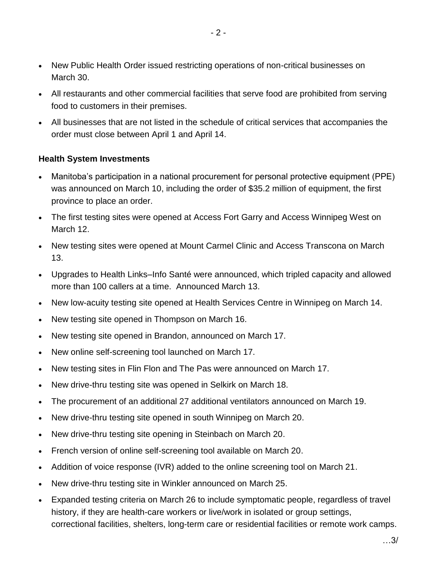- New Public Health Order issued restricting operations of non-critical businesses on March 30.
- All restaurants and other commercial facilities that serve food are prohibited from serving food to customers in their premises.
- All businesses that are not listed in the schedule of critical services that accompanies the order must close between April 1 and April 14.

## **Health System Investments**

- Manitoba's participation in a national procurement for personal protective equipment (PPE) was announced on March 10, including the order of \$35.2 million of equipment, the first province to place an order.
- The first testing sites were opened at Access Fort Garry and Access Winnipeg West on March 12.
- New testing sites were opened at Mount Carmel Clinic and Access Transcona on March 13.
- Upgrades to Health Links–Info Santé were announced, which tripled capacity and allowed more than 100 callers at a time. Announced March 13.
- New low-acuity testing site opened at Health Services Centre in Winnipeg on March 14.
- New testing site opened in Thompson on March 16.
- New testing site opened in Brandon, announced on March 17.
- New online self-screening tool launched on March 17.
- New testing sites in Flin Flon and The Pas were announced on March 17.
- New drive-thru testing site was opened in Selkirk on March 18.
- The procurement of an additional 27 additional ventilators announced on March 19.
- New drive-thru testing site opened in south Winnipeg on March 20.
- New drive-thru testing site opening in Steinbach on March 20.
- French version of online self-screening tool available on March 20.
- Addition of voice response (IVR) added to the online screening tool on March 21.
- New drive-thru testing site in Winkler announced on March 25.
- Expanded testing criteria on March 26 to include symptomatic people, regardless of travel history, if they are health-care workers or live/work in isolated or group settings, correctional facilities, shelters, long-term care or residential facilities or remote work camps.